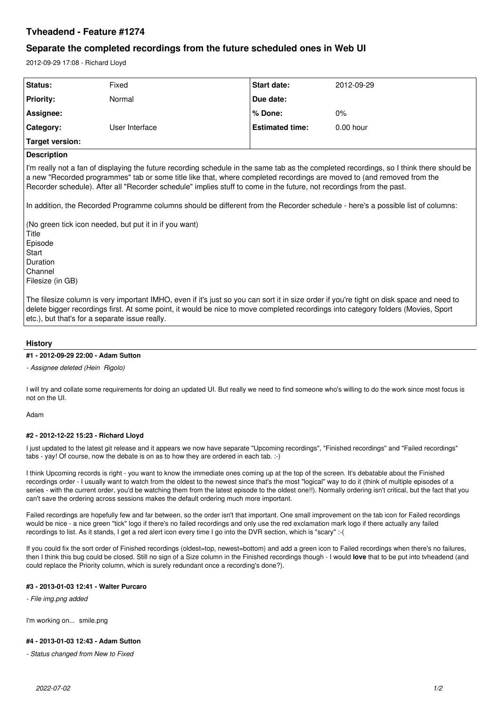## **Tvheadend - Feature #1274**

# **Separate the completed recordings from the future scheduled ones in Web UI**

2012-09-29 17:08 - Richard Lloyd

| Status:          | Fixed          | <b>Start date:</b>     | 2012-09-29  |
|------------------|----------------|------------------------|-------------|
| <b>Priority:</b> | Normal         | Due date:              |             |
| Assignee:        |                | l % Done:              | 0%          |
| Category:        | User Interface | <b>Estimated time:</b> | $0.00$ hour |
| Target version:  |                |                        |             |

## **Description**

I'm really not a fan of displaying the future recording schedule in the same tab as the completed recordings, so I think there should be a new "Recorded programmes" tab or some title like that, where completed recordings are moved to (and removed from the Recorder schedule). After all "Recorder schedule" implies stuff to come in the future, not recordings from the past.

In addition, the Recorded Programme columns should be different from the Recorder schedule - here's a possible list of columns:

(No green tick icon needed, but put it in if you want) Title

Episode **Start** Duration Channel Filesize (in GB)

The filesize column is very important IMHO, even if it's just so you can sort it in size order if you're tight on disk space and need to delete bigger recordings first. At some point, it would be nice to move completed recordings into category folders (Movies, Sport etc.), but that's for a separate issue really.

## **History**

#### **#1 - 2012-09-29 22:00 - Adam Sutton**

#### *- Assignee deleted (Hein Rigolo)*

I will try and collate some requirements for doing an updated UI. But really we need to find someone who's willing to do the work since most focus is not on the UI.

#### Adam

## **#2 - 2012-12-22 15:23 - Richard Lloyd**

I just updated to the latest git release and it appears we now have separate "Upcoming recordings", "Finished recordings" and "Failed recordings" tabs - yay! Of course, now the debate is on as to how they are ordered in each tab. :-)

I think Upcoming records is right - you want to know the immediate ones coming up at the top of the screen. It's debatable about the Finished recordings order - I usually want to watch from the oldest to the newest since that's the most "logical" way to do it (think of multiple episodes of a series - with the current order, you'd be watching them from the latest episode to the oldest one!!). Normally ordering isn't critical, but the fact that you can't save the ordering across sessions makes the default ordering much more important.

Failed recordings are hopefully few and far between, so the order isn't that important. One small improvement on the tab icon for Failed recordings would be nice - a nice green "tick" logo if there's no failed recordings and only use the red exclamation mark logo if there actually any failed recordings to list. As it stands, I get a red alert icon every time I go into the DVR section, which is "scary" :-(

If you could fix the sort order of Finished recordings (oldest=top, newest=bottom) and add a green icon to Failed recordings when there's no failures, then I think this bug could be closed. Still no sign of a Size column in the Finished recordings though - I would **love** that to be put into tvheadend (and could replace the Priority column, which is surely redundant once a recording's done?).

## **#3 - 2013-01-03 12:41 - Walter Purcaro**

*- File img.png added*

I'm working on... smile.png

## **#4 - 2013-01-03 12:43 - Adam Sutton**

*- Status changed from New to Fixed*